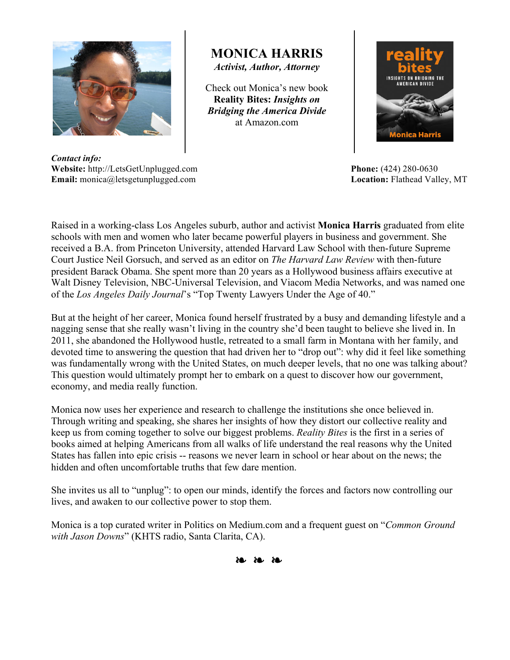

*Contact info:*

**MONICA HARRIS** 

*Activist, Author, Attorney*

Check out Monica's new book **Reality Bites:** *Insights on Bridging the America Divide* at Amazon.com



**Website:** http://LetsGetUnplugged.com **Phone:** (424) 280-0630

**Email:** monica@letsgetunplugged.com **Location:** Flathead Valley, MT

Raised in a working-class Los Angeles suburb, author and activist **Monica Harris** graduated from elite schools with men and women who later became powerful players in business and government. She received a B.A. from Princeton University, attended Harvard Law School with then-future Supreme Court Justice Neil Gorsuch, and served as an editor on *The Harvard Law Review* with then-future president Barack Obama. She spent more than 20 years as a Hollywood business affairs executive at Walt Disney Television, NBC-Universal Television, and Viacom Media Networks, and was named one of the *Los Angeles Daily Journal*'s "Top Twenty Lawyers Under the Age of 40."

But at the height of her career, Monica found herself frustrated by a busy and demanding lifestyle and a nagging sense that she really wasn't living in the country she'd been taught to believe she lived in. In 2011, she abandoned the Hollywood hustle, retreated to a small farm in Montana with her family, and devoted time to answering the question that had driven her to "drop out": why did it feel like something was fundamentally wrong with the United States, on much deeper levels, that no one was talking about? This question would ultimately prompt her to embark on a quest to discover how our government, economy, and media really function.

Monica now uses her experience and research to challenge the institutions she once believed in. Through writing and speaking, she shares her insights of how they distort our collective reality and keep us from coming together to solve our biggest problems. *Reality Bites* is the first in a series of books aimed at helping Americans from all walks of life understand the real reasons why the United States has fallen into epic crisis -- reasons we never learn in school or hear about on the news; the hidden and often uncomfortable truths that few dare mention.

She invites us all to "unplug": to open our minds, identify the forces and factors now controlling our lives, and awaken to our collective power to stop them.

Monica is a top curated writer in Politics on Medium.com and a frequent guest on "*Common Ground with Jason Downs*" (KHTS radio, Santa Clarita, CA).